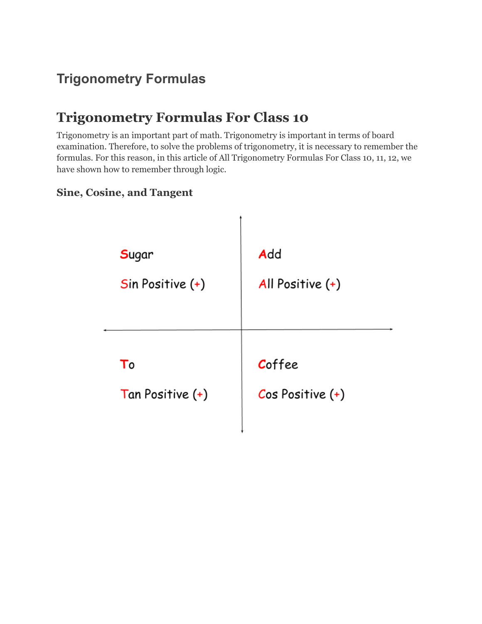# **Trigonometry Formulas**

# **Trigonometry Formulas For Class 10**

Trigonometry is an important part of math. Trigonometry is important in terms of board examination. Therefore, to solve the problems of trigonometry, it is necessary to remember the formulas. For this reason, in this article of All Trigonometry Formulas For Class 10, 11, 12, we have shown how to remember through logic.

#### **Sine, Cosine, and Tangent**

| Sugar              | Add                |
|--------------------|--------------------|
| $Sin Positive (+)$ | All Positive $(+)$ |
| To                 | Coffee             |
| Tan Positive (+)   | $Cos Positive (+)$ |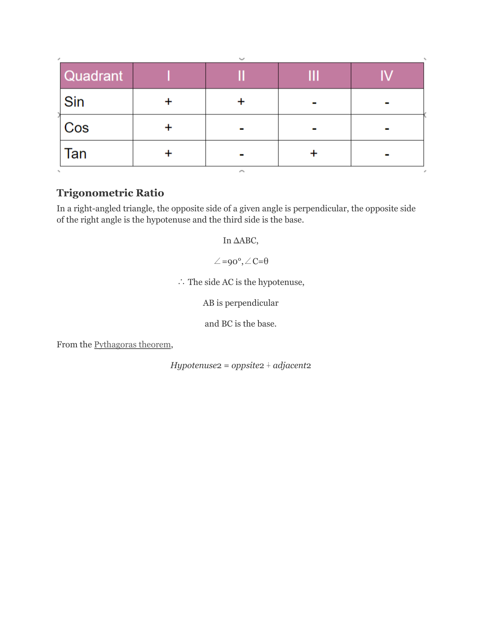| Quadrant |        | Ш |  |
|----------|--------|---|--|
| Sin      |        |   |  |
| Cos      |        |   |  |
| Tan      |        |   |  |
|          | $\sim$ |   |  |

### **Trigonometric Ratio**

In a right-angled triangle, the opposite side of a given angle is perpendicular, the opposite side of the right angle is the hypotenuse and the third side is the base.

In ΔABC,

 $\angle = 90^\circ, \angle C = \theta$ 

∴ The side AC is the hypotenuse,

AB is perpendicular

and BC is the base.

From the **[Pythagoras](https://byjus.com/maths/pythagoras-theorem/)** theorem,

*Hypotenuse*2 = *oppsite*2 ∔ *adjacent*2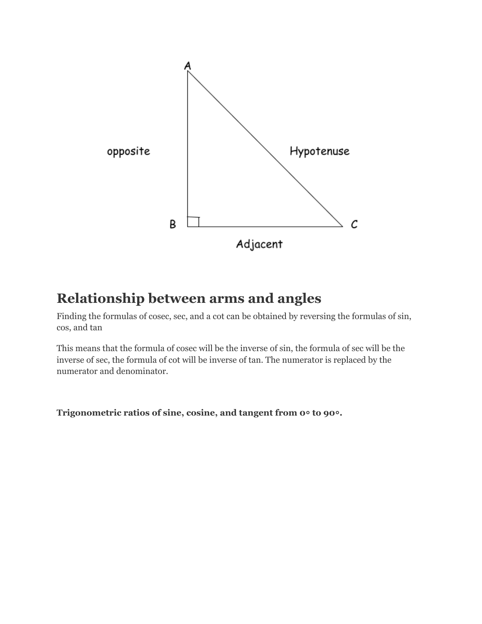

### **Relationship between arms and angles**

Finding the formulas of cosec, sec, and a cot can be obtained by reversing the formulas of sin, cos, and tan

This means that the formula of cosec will be the inverse of sin, the formula of sec will be the inverse of sec, the formula of cot will be inverse of tan. The numerator is replaced by the numerator and denominator.

**Trigonometric ratios of sine, cosine, and tangent from 0**० **to 90**०**.**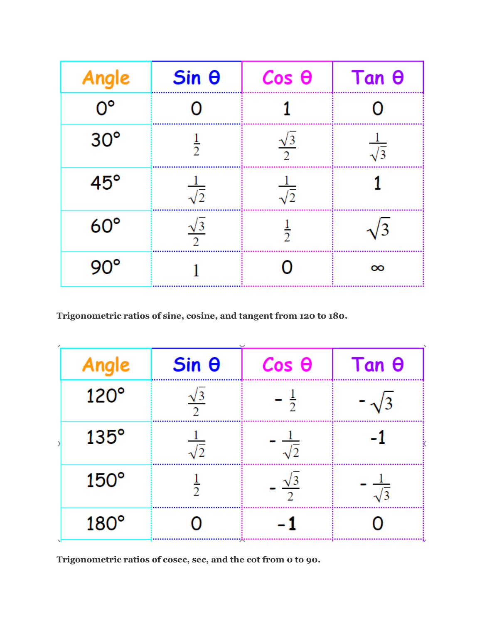| Angle        | $Sin \theta$         | $Cos \theta$         | $Tan \theta$       |
|--------------|----------------------|----------------------|--------------------|
| $0^{\circ}$  | ( )                  |                      |                    |
| $30^\circ$   | $\frac{1}{2}$        | $\frac{\sqrt{3}}{2}$ | $rac{1}{\sqrt{3}}$ |
| $45^{\circ}$ | $rac{1}{\sqrt{2}}$   | $rac{1}{\sqrt{2}}$   |                    |
| $60^\circ$   | $\frac{\sqrt{3}}{2}$ | $\frac{1}{2}$        | $\sqrt{3}$         |
| $90^\circ$   |                      |                      | $\infty$           |

**Trigonometric ratios of sine, cosine, and tangent from 120 to 180.**

| Angle            | $Sin \theta$         | $Cos$ $\theta$       | $Tan \theta$         |
|------------------|----------------------|----------------------|----------------------|
| $120^\circ$      | $\frac{\sqrt{3}}{2}$ | $\frac{1}{2}$        | $\sqrt{3}$           |
| $135^\circ$      | $\sqrt{2}$           | $\frac{1}{\sqrt{2}}$ |                      |
| $150^\circ$      | $\frac{1}{2}$        | $\frac{\sqrt{3}}{2}$ | $\frac{1}{\sqrt{3}}$ |
| $180^\circ$<br>N |                      |                      |                      |

**Trigonometric ratios of cosec, sec, and the cot from 0 to 90.**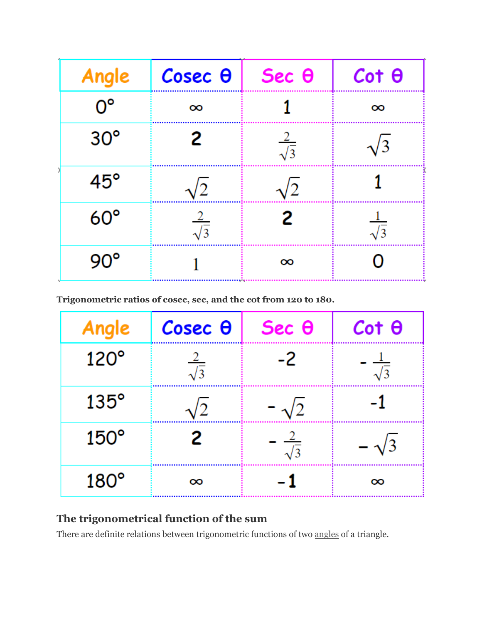| Angle        | $\csc \theta$      | Sec <sub>θ</sub>   | $Cot \theta$       |
|--------------|--------------------|--------------------|--------------------|
| $O^{\circ}$  | $\infty$           |                    | $\infty$           |
| $30^\circ$   | 2                  | $rac{2}{\sqrt{3}}$ | $\sqrt{3}$         |
| $45^{\circ}$ |                    | /2                 |                    |
| $60^\circ$   | $rac{2}{\sqrt{3}}$ | 2                  | $rac{1}{\sqrt{3}}$ |
| $90^\circ$   |                    | $\infty$           | Ω                  |

**Trigonometric ratios of cosec, sec, and the cot from 120 to 180.**

| Angle       | $\csc \theta$      | $Sec \theta$         | $Cot \theta$         |
|-------------|--------------------|----------------------|----------------------|
| $120^\circ$ | $rac{2}{\sqrt{3}}$ | -2                   | $\frac{1}{\sqrt{3}}$ |
| $135^\circ$ |                    | $\sqrt{2}$           |                      |
| $150^\circ$ | 2                  | $\frac{2}{\sqrt{3}}$ |                      |
| $180^\circ$ | $\infty$           |                      | $\infty$             |

#### **The trigonometrical function of the sum**

There are definite relations between trigonometric functions of two [angles](https://en.wikipedia.org/wiki/Angle) of a triangle.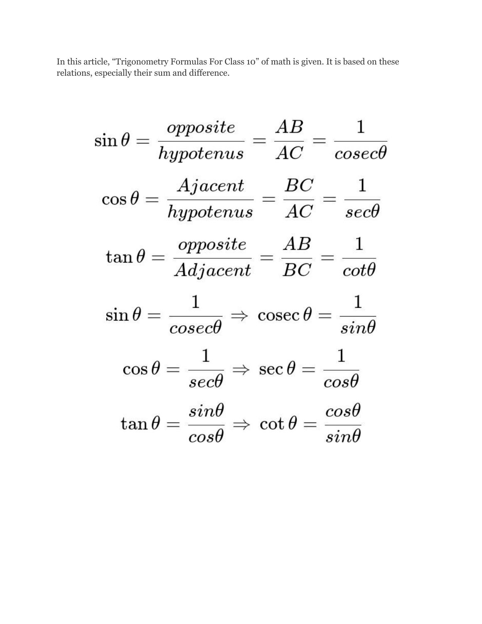In this article, "Trigonometry Formulas For Class 10" of math is given. It is based on these relations, especially their sum and difference.

$$
\sin \theta = \frac{opposite}{hypotenus} = \frac{AB}{AC} = \frac{1}{cosec\theta}
$$

$$
\cos \theta = \frac{Ajacent}{hypotenus} = \frac{BC}{AC} = \frac{1}{sec\theta}
$$

$$
\tan \theta = \frac{opposite}{Adjacent} = \frac{AB}{BC} = \frac{1}{cot\theta}
$$

$$
\sin \theta = \frac{1}{cosec\theta} \Rightarrow \cosec \theta = \frac{1}{sin\theta}
$$

$$
\cos \theta = \frac{1}{sec\theta} \Rightarrow \sec \theta = \frac{1}{cos\theta}
$$

$$
\tan \theta = \frac{sin\theta}{cos\theta} \Rightarrow \cot \theta = \frac{cos\theta}{sin\theta}
$$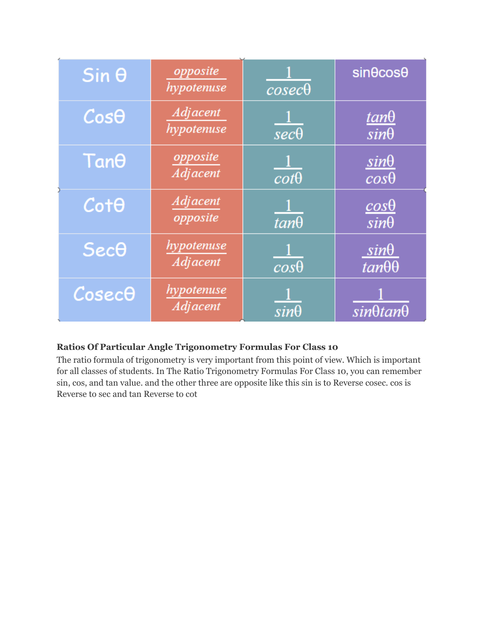| $Sin \theta$               | opposite<br>hypotenuse        | $cosec\theta$          | $sin\theta cos\theta$            |
|----------------------------|-------------------------------|------------------------|----------------------------------|
| $Cos\theta$                | <b>Adjacent</b><br>hypotenuse | $\overline{sec\theta}$ | <u>tanθ</u><br>$sin\theta$       |
| Tano                       | opposite<br><b>Adjacent</b>   | $\overline{cot\theta}$ | $sin\theta$<br>$cos\theta$       |
| $Cot\theta$                | <b>Adjacent</b><br>opposite   | $tan\theta$            | $\frac{cos\theta}{sin\theta}$    |
| $Sec\theta$                | hypotenuse<br><b>Adjacent</b> | $\overline{cos\theta}$ | $sin\theta$<br>$tan\theta\theta$ |
| $\mathcal C$ osec $\Theta$ | hypotenuse<br><b>Adjacent</b> | $sin\theta$            | $sin\theta$ tan $\theta$         |

#### **Ratios Of Particular Angle Trigonometry Formulas For Class 10**

The ratio formula of trigonometry is very important from this point of view. Which is important for all classes of students. In The Ratio Trigonometry Formulas For Class 10, you can remember sin, cos, and tan value. and the other three are opposite like this sin is to Reverse cosec. cos is Reverse to sec and tan Reverse to cot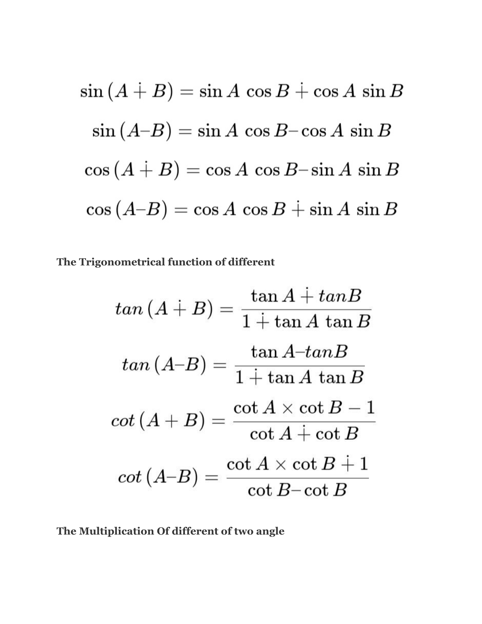$$
\sin (A + B) = \sin A \cos B + \cos A \sin B
$$
  
\n
$$
\sin (A - B) = \sin A \cos B - \cos A \sin B
$$
  
\n
$$
\cos (A + B) = \cos A \cos B - \sin A \sin B
$$
  
\n
$$
\cos (A - B) = \cos A \cos B + \sin A \sin B
$$

**The Trigonometrical function of different**

$$
tan (A + B) = \frac{\tan A + tan B}{1 + \tan A \tan B}
$$

$$
tan (A-B) = \frac{\tan A - tan B}{1 + \tan A \tan B}
$$

$$
cot (A + B) = \frac{\cot A \times \cot B - 1}{\cot A + \cot B}
$$

$$
cot (A-B) = \frac{\cot A \times \cot B + 1}{\cot B - \cot B}
$$

**The Multiplication Of different of two angle**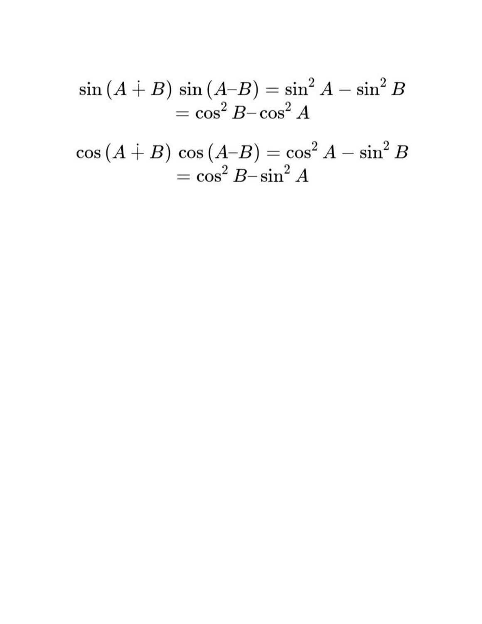$$
\frac{\sin \left(A \dotplus B\right) \sin \left(A \neg B\right) = \sin^2 A - \sin^2 B}{\cos^2 B - \cos^2 A}
$$

$$
\cos{(A \dotplus B)} \cos{(A-B)} = \cos^2{A} - \sin^2{B} \newline = \cos^2{B} - \sin^2{A}
$$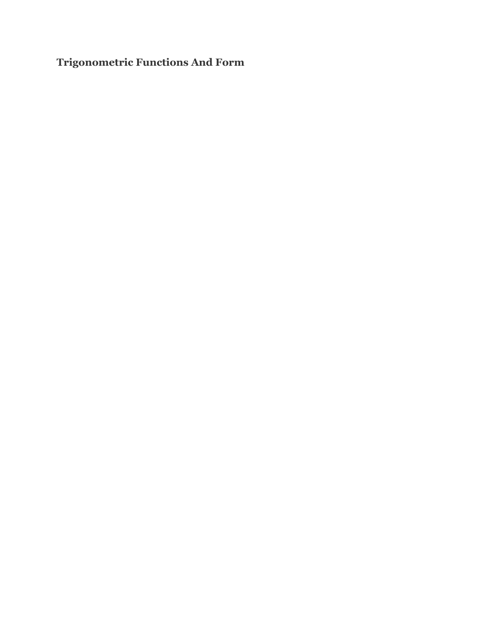**Trigonometric Functions And Form**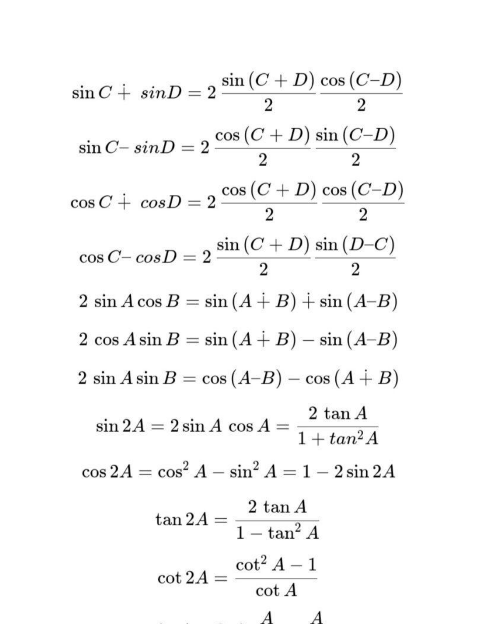$\sin C \dotplus \sin D = 2 \, \frac{\sin \left( C + D \right)}{2} \frac{\cos \left( C - D \right)}{2}$  $\sin C - \sin D = 2 \frac{\cos (C+D) \sin (C-D)}{2}$  $\cos C + \cos D = 2 \frac{\cos (C+D)}{2} \frac{\cos (C-D)}{2}$  $\cos C - \cos D = 2 \frac{\sin (C+D)}{2} \frac{\sin (D-C)}{2}$  $2 \sin A \cos B = \sin (A \dotplus B) \dotplus \sin (A \dotplus B)$  $2\,\cos A\sin B=\sin\left(A+B\right)-\sin\left(A-B\right)$  $2 \sin A \sin B = \cos (A-B) - \cos (A+B)$  $\sin 2A = 2 \sin A \, \cos A = \frac{2 \, \tan A}{1 + \tan^2 A}$  $\cos 2A = \cos^2 A - \sin^2 A = 1 - 2 \sin 2A$  $\tan 2A = \frac{2 \tan A}{1 - \tan^2 A}$  $\cot 2A = \frac{\cot^2 A - 1}{\cot A}$ 

$$
A \qquad A
$$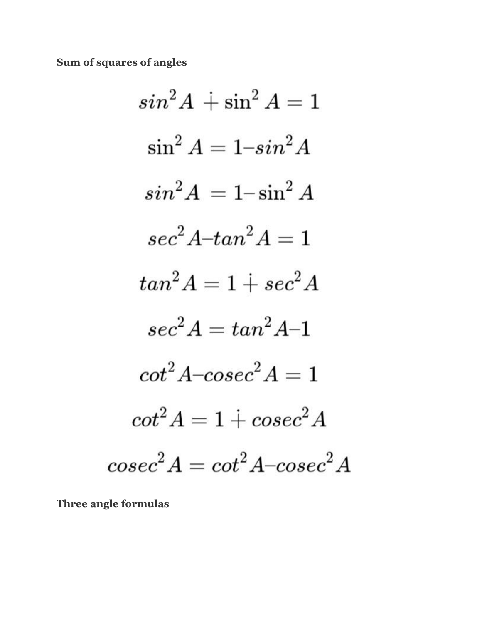Sum of squares of angles

$$
sin2A + sin2A = 1
$$
  
\n
$$
sin2A = 1-sin2A
$$
  
\n
$$
sin2A = 1-sin2A
$$
  
\n
$$
sec2A-tan2A = 1
$$
  
\n
$$
tan2A = 1 + sec2A
$$
  
\n
$$
sec2A = tan2A-1
$$
  
\n
$$
cot2A-cosec2A = 1
$$
  
\n
$$
cot2A = 1 + cosec2A
$$
  
\n
$$
cosec2A = cot2A-cosec2A
$$

Three angle formulas